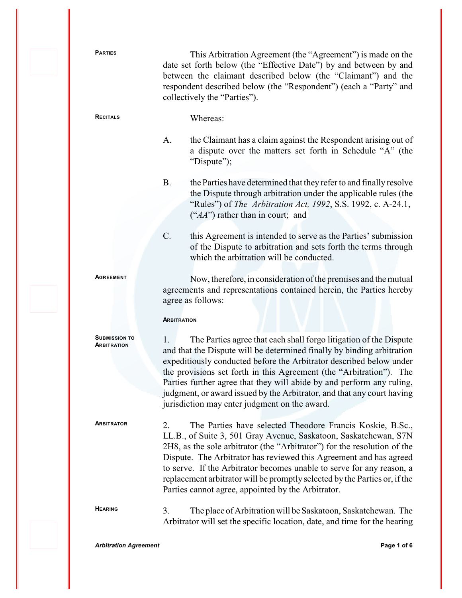PARTIES This Arbitration Agreement (the "Agreement") is made on the date set forth below (the "Effective Date") by and between by and between the claimant described below (the "Claimant") and the respondent described below (the "Respondent") (each a "Party" and collectively the "Parties").

**<sup>R</sup>ECITALS** Whereas:

- A. the Claimant has a claim against the Respondent arising out of a dispute over the matters set forth in Schedule "A" (the "Dispute":
- B. the Parties have determined that they refer to and finally resolve the Dispute through arbitration under the applicable rules (the "Rules") of *The Arbitration Act, 1992*, S.S. 1992, c. A-24.1, ("*AA*") rather than in court; and
- C. this Agreement is intended to serve as the Parties' submission of the Dispute to arbitration and sets forth the terms through which the arbitration will be conducted.

**<sup>A</sup>GREEMENT** Now, therefore, in consideration of the premises and the mutual agreements and representations contained herein, the Parties hereby agree as follows:

## **ARBITRATION**

**SUBMISSION TO ARBITRATION**

1. The Parties agree that each shall forgo litigation of the Dispute and that the Dispute will be determined finally by binding arbitration expeditiously conducted before the Arbitrator described below under the provisions set forth in this Agreement (the "Arbitration"). The Parties further agree that they will abide by and perform any ruling, judgment, or award issued by the Arbitrator, and that any court having jurisdiction may enter judgment on the award.

**<sup>A</sup>RBITRATOR** 2. The Parties have selected Theodore Francis Koskie, B.Sc., LL.B., of Suite 3, 501 Gray Avenue, Saskatoon, Saskatchewan, S7N 2H8, as the sole arbitrator (the "Arbitrator") for the resolution of the Dispute. The Arbitrator has reviewed this Agreement and has agreed to serve. If the Arbitrator becomes unable to serve for any reason, a replacement arbitrator will be promptly selected by the Parties or, if the Parties cannot agree, appointed by the Arbitrator.

**<sup>H</sup>EARING** 3. The place of Arbitration will be Saskatoon, Saskatchewan. The Arbitrator will set the specific location, date, and time for the hearing

*Arbitration Agreement* **Page 1 of 6**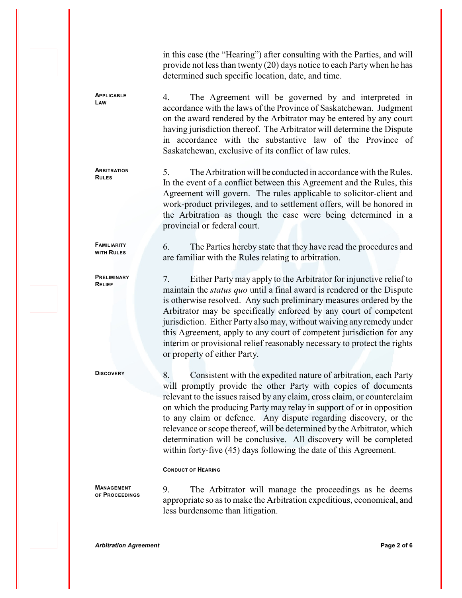in this case (the "Hearing") after consulting with the Parties, and will provide not less than twenty (20) days notice to each Party when he has determined such specific location, date, and time.

4. The Agreement will be governed by and interpreted in accordance with the laws of the Province of Saskatchewan. Judgment on the award rendered by the Arbitrator may be entered by any court having jurisdiction thereof. The Arbitrator will determine the Dispute in accordance with the substantive law of the Province of Saskatchewan, exclusive of its conflict of law rules.

**ARBITRATION RULES**

**FAMILIARITY WITH RULES**

**PRELIMINARY RELIEF**

**APPLICABLE LAW**

> 5. The Arbitration will be conducted in accordance with the Rules. In the event of a conflict between this Agreement and the Rules, this Agreement will govern. The rules applicable to solicitor-client and work-product privileges, and to settlement offers, will be honored in the Arbitration as though the case were being determined in a provincial or federal court.

> 6. The Parties hereby state that they have read the procedures and are familiar with the Rules relating to arbitration.

> 7. Either Party may apply to the Arbitrator for injunctive relief to maintain the *status quo* until a final award is rendered or the Dispute is otherwise resolved. Any such preliminary measures ordered by the Arbitrator may be specifically enforced by any court of competent jurisdiction. Either Party also may, without waiving any remedy under this Agreement, apply to any court of competent jurisdiction for any interim or provisional relief reasonably necessary to protect the rights or property of either Party.

**DISCOVERY** 8. Consistent with the expedited nature of arbitration, each Party will promptly provide the other Party with copies of documents relevant to the issues raised by any claim, cross claim, or counterclaim on which the producing Party may relay in support of or in opposition to any claim or defence. Any dispute regarding discovery, or the relevance or scope thereof, will be determined by the Arbitrator, which determination will be conclusive. All discovery will be completed within forty-five (45) days following the date of this Agreement.

## **CONDUCT OF HEARING**

**MANAGEMENT OF PROCEEDINGS** 9. The Arbitrator will manage the proceedings as he deems appropriate so as to make the Arbitration expeditious, economical, and less burdensome than litigation.

*Arbitration Agreement* **Page 2 of 6**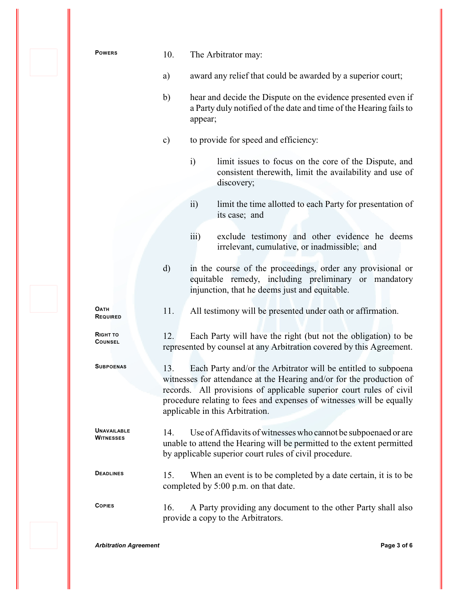|  | <b>POWERS</b>                          | 10.                                                                                                                                                                                                                                                                                                                            |                  | The Arbitrator may:                                                                                                                                                                                |  |
|--|----------------------------------------|--------------------------------------------------------------------------------------------------------------------------------------------------------------------------------------------------------------------------------------------------------------------------------------------------------------------------------|------------------|----------------------------------------------------------------------------------------------------------------------------------------------------------------------------------------------------|--|
|  |                                        | a)                                                                                                                                                                                                                                                                                                                             |                  | award any relief that could be awarded by a superior court;                                                                                                                                        |  |
|  |                                        | b)                                                                                                                                                                                                                                                                                                                             | appear;          | hear and decide the Dispute on the evidence presented even if<br>a Party duly notified of the date and time of the Hearing fails to                                                                |  |
|  |                                        | $\mathbf{c})$                                                                                                                                                                                                                                                                                                                  |                  | to provide for speed and efficiency:                                                                                                                                                               |  |
|  |                                        |                                                                                                                                                                                                                                                                                                                                | $\ddot{i}$       | limit issues to focus on the core of the Dispute, and<br>consistent therewith, limit the availability and use of<br>discovery;                                                                     |  |
|  |                                        |                                                                                                                                                                                                                                                                                                                                | $\overline{ii}$  | limit the time allotted to each Party for presentation of<br>its case; and                                                                                                                         |  |
|  |                                        |                                                                                                                                                                                                                                                                                                                                | $\overline{iii}$ | exclude testimony and other evidence he deems<br>irrelevant, cumulative, or inadmissible; and                                                                                                      |  |
|  |                                        | $\mathbf{d}$                                                                                                                                                                                                                                                                                                                   |                  | in the course of the proceedings, order any provisional or<br>equitable remedy, including preliminary or mandatory<br>injunction, that he deems just and equitable.                                |  |
|  | <b>OATH</b><br><b>REQUIRED</b>         | 11.                                                                                                                                                                                                                                                                                                                            |                  | All testimony will be presented under oath or affirmation.                                                                                                                                         |  |
|  | RIGHT TO<br><b>COUNSEL</b>             | 12.                                                                                                                                                                                                                                                                                                                            |                  | Each Party will have the right (but not the obligation) to be<br>represented by counsel at any Arbitration covered by this Agreement.                                                              |  |
|  | <b>SUBPOENAS</b>                       | Each Party and/or the Arbitrator will be entitled to subpoena<br>13.<br>witnesses for attendance at the Hearing and/or for the production of<br>records. All provisions of applicable superior court rules of civil<br>procedure relating to fees and expenses of witnesses will be equally<br>applicable in this Arbitration. |                  |                                                                                                                                                                                                    |  |
|  | <b>UNAVAILABLE</b><br><b>WITNESSES</b> | 14.                                                                                                                                                                                                                                                                                                                            |                  | Use of Affidavits of witnesses who cannot be subpoenaed or are<br>unable to attend the Hearing will be permitted to the extent permitted<br>by applicable superior court rules of civil procedure. |  |
|  | <b>DEADLINES</b>                       | 15.                                                                                                                                                                                                                                                                                                                            |                  | When an event is to be completed by a date certain, it is to be<br>completed by 5:00 p.m. on that date.                                                                                            |  |
|  | <b>COPIES</b>                          | 16.                                                                                                                                                                                                                                                                                                                            |                  | A Party providing any document to the other Party shall also<br>provide a copy to the Arbitrators.                                                                                                 |  |
|  |                                        |                                                                                                                                                                                                                                                                                                                                |                  |                                                                                                                                                                                                    |  |

*Arbitration Agreement* **Page 3 of 6**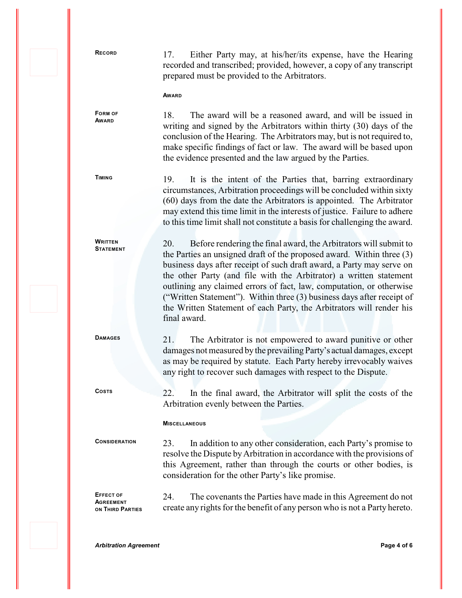**FORM OF AWARD**

**<sup>R</sup>ECORD** 17. Either Party may, at his/her/its expense, have the Hearing recorded and transcribed; provided, however, a copy of any transcript prepared must be provided to the Arbitrators.

**AWARD**

18. The award will be a reasoned award, and will be issued in writing and signed by the Arbitrators within thirty (30) days of the conclusion of the Hearing. The Arbitrators may, but is not required to, make specific findings of fact or law. The award will be based upon the evidence presented and the law argued by the Parties.

**WRITTEN STATEMENT**

**TIMING** 19. It is the intent of the Parties that, barring extraordinary circumstances, Arbitration proceedings will be concluded within sixty (60) days from the date the Arbitrators is appointed. The Arbitrator may extend this time limit in the interests of justice. Failure to adhere to this time limit shall not constitute a basis for challenging the award.

> 20. Before rendering the final award, the Arbitrators will submit to the Parties an unsigned draft of the proposed award. Within three (3) business days after receipt of such draft award, a Party may serve on the other Party (and file with the Arbitrator) a written statement outlining any claimed errors of fact, law, computation, or otherwise ("Written Statement"). Within three (3) business days after receipt of the Written Statement of each Party, the Arbitrators will render his final award.

DAMAGES 21. The Arbitrator is not empowered to award punitive or other damages not measured by the prevailing Party's actual damages, except as may be required by statute. Each Party hereby irrevocably waives any right to recover such damages with respect to the Dispute.

**<sup>C</sup>OSTS** 22. In the final award, the Arbitrator will split the costs of the Arbitration evenly between the Parties.

## **MISCELLANEOUS**

**<sup>C</sup>ONSIDERATION** 23. In addition to any other consideration, each Party's promise to resolve the Dispute by Arbitration in accordance with the provisions of this Agreement, rather than through the courts or other bodies, is consideration for the other Party's like promise.

**EFFECT OF AGREEMENT ON THIRD PARTIES** 24. The covenants the Parties have made in this Agreement do not create any rights for the benefit of any person who is not a Party hereto.

*Arbitration Agreement* **Page 4 of 6**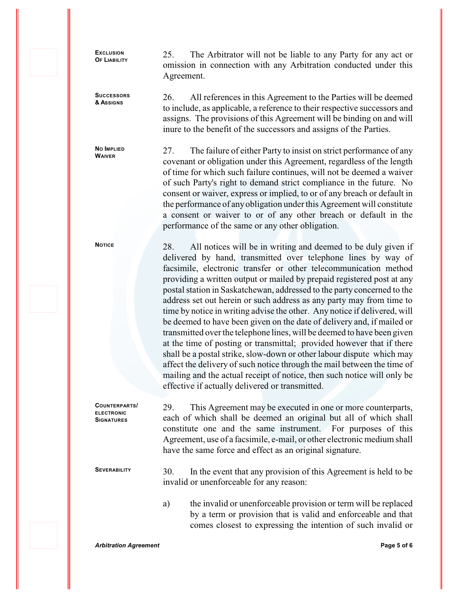**EXCLUSION OF LIABILITY**

**SUCCESSORS & ASSIGNS**

**NO IMPLIED WAIVER**

25. The Arbitrator will not be liable to any Party for any act or omission in connection with any Arbitration conducted under this Agreement.

26. All references in this Agreement to the Parties will be deemed to include, as applicable, a reference to their respective successors and assigns. The provisions of this Agreement will be binding on and will inure to the benefit of the successors and assigns of the Parties.

27. The failure of either Party to insist on strict performance of any covenant or obligation under this Agreement, regardless of the length of time for which such failure continues, will not be deemed a waiver of such Party's right to demand strict compliance in the future. No consent or waiver, express or implied, to or of any breach or default in the performance of any obligation under this Agreement will constitute a consent or waiver to or of any other breach or default in the performance of the same or any other obligation.

NOTICE 28. All notices will be in writing and deemed to be duly given if delivered by hand, transmitted over telephone lines by way of facsimile, electronic transfer or other telecommunication method providing a written output or mailed by prepaid registered post at any postal station in Saskatchewan, addressed to the party concerned to the address set out herein or such address as any party may from time to time by notice in writing advise the other. Any notice if delivered, will be deemed to have been given on the date of delivery and, if mailed or transmitted over the telephone lines, will be deemed to have been given at the time of posting or transmittal; provided however that if there shall be a postal strike, slow-down or other labour dispute which may affect the delivery of such notice through the mail between the time of mailing and the actual receipt of notice, then such notice will only be effective if actually delivered or transmitted.

**COUNTERPARTS/** 29. This Agreement may be executed in one or more counterparts, each of which shall be deemed an original but all of which shall constitute one and the same instrument. For purposes of this Agreement, use of a facsimile, e-mail, or other electronic medium shall have the same force and effect as an original signature.

SEVERABILITY 30. In the event that any provision of this Agreement is held to be invalid or unenforceable for any reason:

> a) the invalid or unenforceable provision or term will be replaced by a term or provision that is valid and enforceable and that comes closest to expressing the intention of such invalid or

**ELECTRONIC SIGNATURES**